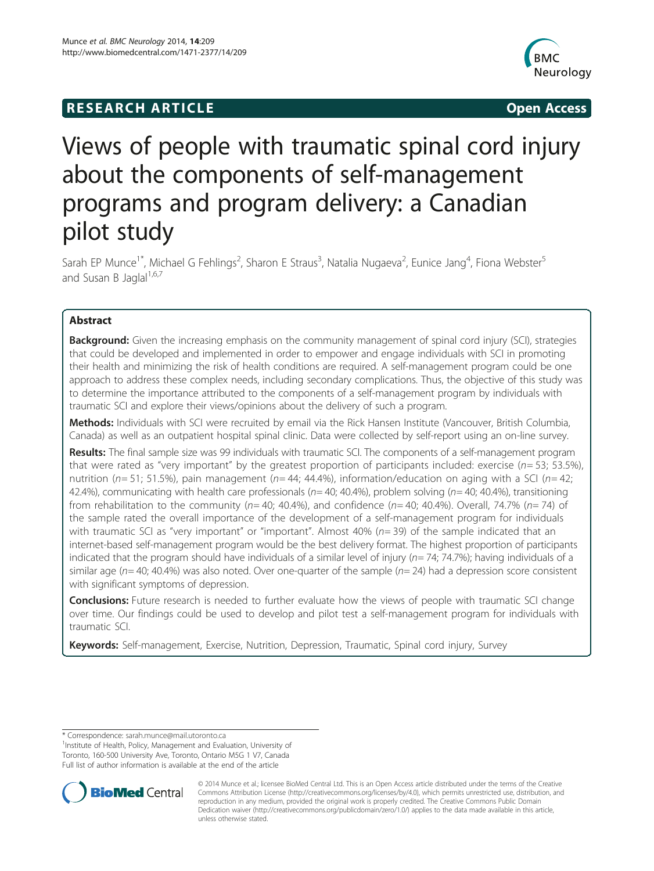## **RESEARCH ARTICLE Example 2014 CONSIDERING CONSIDERING CONSIDERING CONSIDERING CONSIDERING CONSIDERING CONSIDERING CONSIDERING CONSIDERING CONSIDERING CONSIDERING CONSIDERING CONSIDERING CONSIDERING CONSIDERING CONSIDE**



# Views of people with traumatic spinal cord injury about the components of self-management programs and program delivery: a Canadian pilot study

Sarah EP Munce<sup>1\*</sup>, Michael G Fehlings<sup>2</sup>, Sharon E Straus<sup>3</sup>, Natalia Nugaeva<sup>2</sup>, Eunice Jang<sup>4</sup>, Fiona Webster<sup>5</sup> and Susan B Jagla $1^{1,6,7}$ 

## Abstract

**Background:** Given the increasing emphasis on the community management of spinal cord injury (SCI), strategies that could be developed and implemented in order to empower and engage individuals with SCI in promoting their health and minimizing the risk of health conditions are required. A self-management program could be one approach to address these complex needs, including secondary complications. Thus, the objective of this study was to determine the importance attributed to the components of a self-management program by individuals with traumatic SCI and explore their views/opinions about the delivery of such a program.

Methods: Individuals with SCI were recruited by email via the Rick Hansen Institute (Vancouver, British Columbia, Canada) as well as an outpatient hospital spinal clinic. Data were collected by self-report using an on-line survey.

Results: The final sample size was 99 individuals with traumatic SCI. The components of a self-management program that were rated as "very important" by the greatest proportion of participants included: exercise ( $n=$  53; 53.5%), nutrition ( $n= 51$ ; 51.5%), pain management ( $n= 44$ ; 44.4%), information/education on aging with a SCI ( $n= 42$ ; 42.4%), communicating with health care professionals ( $n=$  40; 40.4%), problem solving ( $n=$  40; 40.4%), transitioning from rehabilitation to the community ( $n=40$ ; 40.4%), and confidence ( $n=40$ ; 40.4%). Overall, 74.7% ( $n=74$ ) of the sample rated the overall importance of the development of a self-management program for individuals with traumatic SCI as "very important" or "important". Almost 40% ( $n=39$ ) of the sample indicated that an internet-based self-management program would be the best delivery format. The highest proportion of participants indicated that the program should have individuals of a similar level of injury ( $n=$  74; 74.7%); having individuals of a similar age ( $n=$  40; 40.4%) was also noted. Over one-quarter of the sample ( $n=$  24) had a depression score consistent with significant symptoms of depression.

**Conclusions:** Future research is needed to further evaluate how the views of people with traumatic SCI change over time. Our findings could be used to develop and pilot test a self-management program for individuals with traumatic SCI.

Keywords: Self-management, Exercise, Nutrition, Depression, Traumatic, Spinal cord injury, Survey

<sup>&</sup>lt;sup>1</sup>Institute of Health, Policy, Management and Evaluation, University of Toronto, 160-500 University Ave, Toronto, Ontario M5G 1 V7, Canada Full list of author information is available at the end of the article



<sup>© 2014</sup> Munce et al.; licensee BioMed Central Ltd. This is an Open Access article distributed under the terms of the Creative Commons Attribution License [\(http://creativecommons.org/licenses/by/4.0\)](http://creativecommons.org/licenses/by/4.0), which permits unrestricted use, distribution, and reproduction in any medium, provided the original work is properly credited. The Creative Commons Public Domain Dedication waiver [\(http://creativecommons.org/publicdomain/zero/1.0/](http://creativecommons.org/publicdomain/zero/1.0/)) applies to the data made available in this article, unless otherwise stated.

<sup>\*</sup> Correspondence: [sarah.munce@mail.utoronto.ca](mailto:sarah.munce@mail.utoronto.ca) <sup>1</sup>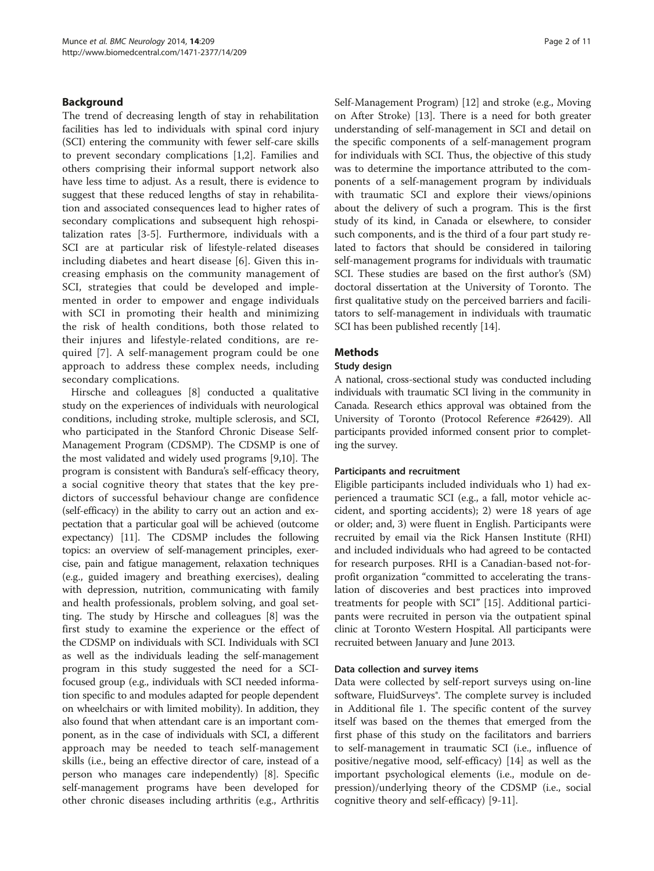## Background

The trend of decreasing length of stay in rehabilitation facilities has led to individuals with spinal cord injury (SCI) entering the community with fewer self-care skills to prevent secondary complications [[1](#page-9-0),[2\]](#page-9-0). Families and others comprising their informal support network also have less time to adjust. As a result, there is evidence to suggest that these reduced lengths of stay in rehabilitation and associated consequences lead to higher rates of secondary complications and subsequent high rehospitalization rates [\[3](#page-9-0)-[5\]](#page-9-0). Furthermore, individuals with a SCI are at particular risk of lifestyle-related diseases including diabetes and heart disease [[6\]](#page-9-0). Given this increasing emphasis on the community management of SCI, strategies that could be developed and implemented in order to empower and engage individuals with SCI in promoting their health and minimizing the risk of health conditions, both those related to their injures and lifestyle-related conditions, are required [\[7](#page-9-0)]. A self-management program could be one approach to address these complex needs, including secondary complications.

Hirsche and colleagues [[8\]](#page-9-0) conducted a qualitative study on the experiences of individuals with neurological conditions, including stroke, multiple sclerosis, and SCI, who participated in the Stanford Chronic Disease Self-Management Program (CDSMP). The CDSMP is one of the most validated and widely used programs [\[9,10\]](#page-9-0). The program is consistent with Bandura's self-efficacy theory, a social cognitive theory that states that the key predictors of successful behaviour change are confidence (self-efficacy) in the ability to carry out an action and expectation that a particular goal will be achieved (outcome expectancy) [\[11\]](#page-9-0). The CDSMP includes the following topics: an overview of self-management principles, exercise, pain and fatigue management, relaxation techniques (e.g., guided imagery and breathing exercises), dealing with depression, nutrition, communicating with family and health professionals, problem solving, and goal setting. The study by Hirsche and colleagues [\[8](#page-9-0)] was the first study to examine the experience or the effect of the CDSMP on individuals with SCI. Individuals with SCI as well as the individuals leading the self-management program in this study suggested the need for a SCIfocused group (e.g., individuals with SCI needed information specific to and modules adapted for people dependent on wheelchairs or with limited mobility). In addition, they also found that when attendant care is an important component, as in the case of individuals with SCI, a different approach may be needed to teach self-management skills (i.e., being an effective director of care, instead of a person who manages care independently) [[8\]](#page-9-0). Specific self-management programs have been developed for other chronic diseases including arthritis (e.g., Arthritis Self-Management Program) [[12\]](#page-9-0) and stroke (e.g., Moving on After Stroke) [\[13](#page-10-0)]. There is a need for both greater understanding of self-management in SCI and detail on the specific components of a self-management program for individuals with SCI. Thus, the objective of this study was to determine the importance attributed to the components of a self-management program by individuals with traumatic SCI and explore their views/opinions about the delivery of such a program. This is the first study of its kind, in Canada or elsewhere, to consider such components, and is the third of a four part study related to factors that should be considered in tailoring self-management programs for individuals with traumatic SCI. These studies are based on the first author's (SM) doctoral dissertation at the University of Toronto. The first qualitative study on the perceived barriers and facilitators to self-management in individuals with traumatic SCI has been published recently [[14](#page-10-0)].

## Methods

#### Study design

A national, cross-sectional study was conducted including individuals with traumatic SCI living in the community in Canada. Research ethics approval was obtained from the University of Toronto (Protocol Reference #26429). All participants provided informed consent prior to completing the survey.

## Participants and recruitment

Eligible participants included individuals who 1) had experienced a traumatic SCI (e.g., a fall, motor vehicle accident, and sporting accidents); 2) were 18 years of age or older; and, 3) were fluent in English. Participants were recruited by email via the Rick Hansen Institute (RHI) and included individuals who had agreed to be contacted for research purposes. RHI is a Canadian-based not-forprofit organization "committed to accelerating the translation of discoveries and best practices into improved treatments for people with SCI" [[15\]](#page-10-0). Additional participants were recruited in person via the outpatient spinal clinic at Toronto Western Hospital. All participants were recruited between January and June 2013.

#### Data collection and survey items

Data were collected by self-report surveys using on-line software, FluidSurveys®. The complete survey is included in Additional file [1.](#page-9-0) The specific content of the survey itself was based on the themes that emerged from the first phase of this study on the facilitators and barriers to self-management in traumatic SCI (i.e., influence of positive/negative mood, self-efficacy) [\[14](#page-10-0)] as well as the important psychological elements (i.e., module on depression)/underlying theory of the CDSMP (i.e., social cognitive theory and self-efficacy) [\[9](#page-9-0)-[11\]](#page-9-0).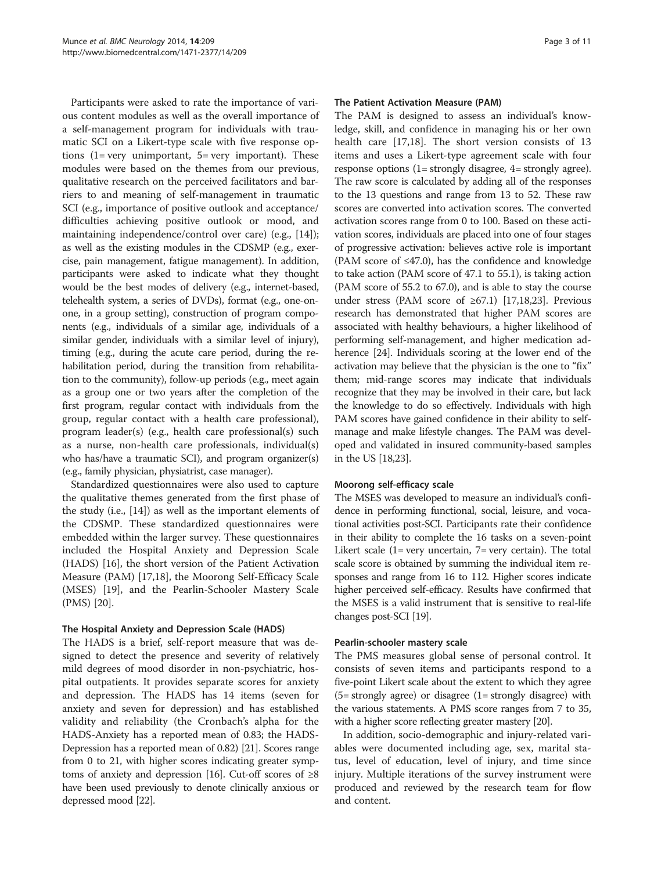Participants were asked to rate the importance of various content modules as well as the overall importance of a self-management program for individuals with traumatic SCI on a Likert-type scale with five response options  $(1 = \text{very unimportant}, 5 = \text{very important})$ . These modules were based on the themes from our previous, qualitative research on the perceived facilitators and barriers to and meaning of self-management in traumatic SCI (e.g., importance of positive outlook and acceptance/ difficulties achieving positive outlook or mood, and maintaining independence/control over care) (e.g., [\[14](#page-10-0)]); as well as the existing modules in the CDSMP (e.g., exercise, pain management, fatigue management). In addition, participants were asked to indicate what they thought would be the best modes of delivery (e.g., internet-based, telehealth system, a series of DVDs), format (e.g., one-onone, in a group setting), construction of program components (e.g., individuals of a similar age, individuals of a similar gender, individuals with a similar level of injury), timing (e.g., during the acute care period, during the rehabilitation period, during the transition from rehabilitation to the community), follow-up periods (e.g., meet again as a group one or two years after the completion of the first program, regular contact with individuals from the group, regular contact with a health care professional), program leader(s) (e.g., health care professional(s) such as a nurse, non-health care professionals, individual(s) who has/have a traumatic SCI), and program organizer(s) (e.g., family physician, physiatrist, case manager).

Standardized questionnaires were also used to capture the qualitative themes generated from the first phase of the study (i.e., [[14\]](#page-10-0)) as well as the important elements of the CDSMP. These standardized questionnaires were embedded within the larger survey. These questionnaires included the Hospital Anxiety and Depression Scale (HADS) [\[16](#page-10-0)], the short version of the Patient Activation Measure (PAM) [[17,18\]](#page-10-0), the Moorong Self-Efficacy Scale (MSES) [[19\]](#page-10-0), and the Pearlin-Schooler Mastery Scale (PMS) [[20](#page-10-0)].

## The Hospital Anxiety and Depression Scale (HADS)

The HADS is a brief, self-report measure that was designed to detect the presence and severity of relatively mild degrees of mood disorder in non-psychiatric, hospital outpatients. It provides separate scores for anxiety and depression. The HADS has 14 items (seven for anxiety and seven for depression) and has established validity and reliability (the Cronbach's alpha for the HADS-Anxiety has a reported mean of 0.83; the HADS-Depression has a reported mean of 0.82) [\[21](#page-10-0)]. Scores range from 0 to 21, with higher scores indicating greater symp-toms of anxiety and depression [[16](#page-10-0)]. Cut-off scores of  $\geq 8$ have been used previously to denote clinically anxious or depressed mood [[22](#page-10-0)].

#### The Patient Activation Measure (PAM)

The PAM is designed to assess an individual's knowledge, skill, and confidence in managing his or her own health care [\[17,18\]](#page-10-0). The short version consists of 13 items and uses a Likert-type agreement scale with four response options (1= strongly disagree, 4= strongly agree). The raw score is calculated by adding all of the responses to the 13 questions and range from 13 to 52. These raw scores are converted into activation scores. The converted activation scores range from 0 to 100. Based on these activation scores, individuals are placed into one of four stages of progressive activation: believes active role is important (PAM score of ≤47.0), has the confidence and knowledge to take action (PAM score of 47.1 to 55.1), is taking action (PAM score of 55.2 to 67.0), and is able to stay the course under stress (PAM score of ≥67.1) [\[17,18,23](#page-10-0)]. Previous research has demonstrated that higher PAM scores are associated with healthy behaviours, a higher likelihood of performing self-management, and higher medication adherence [\[24\]](#page-10-0). Individuals scoring at the lower end of the activation may believe that the physician is the one to "fix" them; mid-range scores may indicate that individuals recognize that they may be involved in their care, but lack the knowledge to do so effectively. Individuals with high PAM scores have gained confidence in their ability to selfmanage and make lifestyle changes. The PAM was developed and validated in insured community-based samples in the US [\[18,23](#page-10-0)].

#### Moorong self-efficacy scale

The MSES was developed to measure an individual's confidence in performing functional, social, leisure, and vocational activities post-SCI. Participants rate their confidence in their ability to complete the 16 tasks on a seven-point Likert scale (1= very uncertain, 7= very certain). The total scale score is obtained by summing the individual item responses and range from 16 to 112. Higher scores indicate higher perceived self-efficacy. Results have confirmed that the MSES is a valid instrument that is sensitive to real-life changes post-SCI [\[19\]](#page-10-0).

#### Pearlin-schooler mastery scale

The PMS measures global sense of personal control. It consists of seven items and participants respond to a five-point Likert scale about the extent to which they agree (5= strongly agree) or disagree (1= strongly disagree) with the various statements. A PMS score ranges from 7 to 35, with a higher score reflecting greater mastery [[20](#page-10-0)].

In addition, socio-demographic and injury-related variables were documented including age, sex, marital status, level of education, level of injury, and time since injury. Multiple iterations of the survey instrument were produced and reviewed by the research team for flow and content.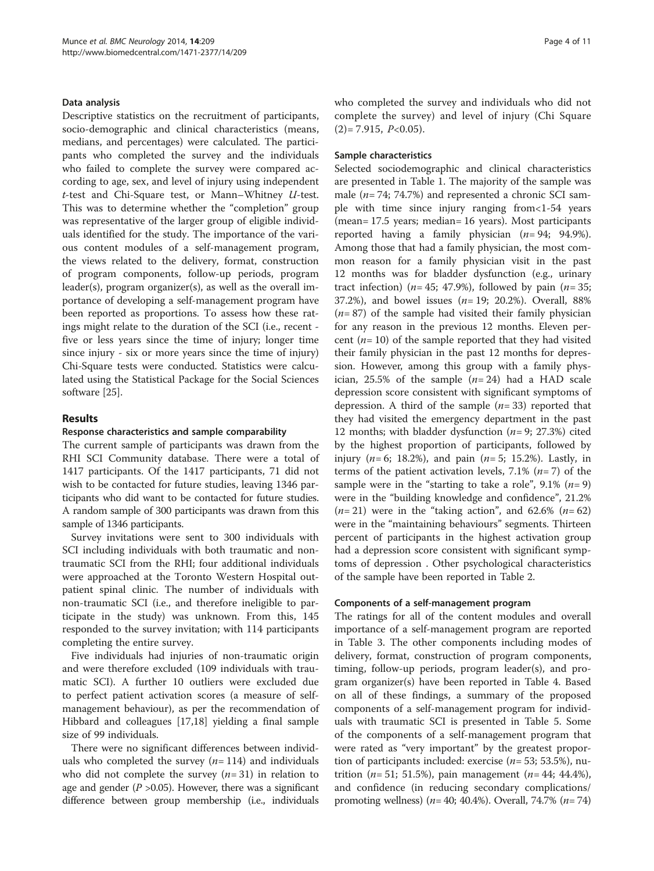#### Data analysis

Descriptive statistics on the recruitment of participants, socio-demographic and clinical characteristics (means, medians, and percentages) were calculated. The participants who completed the survey and the individuals who failed to complete the survey were compared according to age, sex, and level of injury using independent t-test and Chi-Square test, or Mann–Whitney U-test. This was to determine whether the "completion" group was representative of the larger group of eligible individuals identified for the study. The importance of the various content modules of a self-management program, the views related to the delivery, format, construction of program components, follow-up periods, program leader(s), program organizer(s), as well as the overall importance of developing a self-management program have been reported as proportions. To assess how these ratings might relate to the duration of the SCI (i.e., recent five or less years since the time of injury; longer time since injury - six or more years since the time of injury) Chi-Square tests were conducted. Statistics were calculated using the Statistical Package for the Social Sciences software [[25](#page-10-0)].

## Results

#### Response characteristics and sample comparability

The current sample of participants was drawn from the RHI SCI Community database. There were a total of 1417 participants. Of the 1417 participants, 71 did not wish to be contacted for future studies, leaving 1346 participants who did want to be contacted for future studies. A random sample of 300 participants was drawn from this sample of 1346 participants.

Survey invitations were sent to 300 individuals with SCI including individuals with both traumatic and nontraumatic SCI from the RHI; four additional individuals were approached at the Toronto Western Hospital outpatient spinal clinic. The number of individuals with non-traumatic SCI (i.e., and therefore ineligible to participate in the study) was unknown. From this, 145 responded to the survey invitation; with 114 participants completing the entire survey.

Five individuals had injuries of non-traumatic origin and were therefore excluded (109 individuals with traumatic SCI). A further 10 outliers were excluded due to perfect patient activation scores (a measure of selfmanagement behaviour), as per the recommendation of Hibbard and colleagues [\[17,18](#page-10-0)] yielding a final sample size of 99 individuals.

There were no significant differences between individuals who completed the survey  $(n=114)$  and individuals who did not complete the survey  $(n=31)$  in relation to age and gender ( $P > 0.05$ ). However, there was a significant difference between group membership (i.e., individuals who completed the survey and individuals who did not complete the survey) and level of injury (Chi Square  $(2)= 7.915, P<0.05$ ).

#### Sample characteristics

Selected sociodemographic and clinical characteristics are presented in Table [1.](#page-4-0) The majority of the sample was male ( $n= 74$ ; 74.7%) and represented a chronic SCI sample with time since injury ranging from<1-54 years (mean= 17.5 years; median= 16 years). Most participants reported having a family physician  $(n= 94; 94.9\%)$ . Among those that had a family physician, the most common reason for a family physician visit in the past 12 months was for bladder dysfunction (e.g., urinary tract infection) ( $n= 45$ ; 47.9%), followed by pain ( $n=35$ ; 37.2%), and bowel issues  $(n=19; 20.2%)$ . Overall, 88%  $(n= 87)$  of the sample had visited their family physician for any reason in the previous 12 months. Eleven percent ( $n=10$ ) of the sample reported that they had visited their family physician in the past 12 months for depression. However, among this group with a family physician, 25.5% of the sample  $(n=24)$  had a HAD scale depression score consistent with significant symptoms of depression. A third of the sample  $(n=33)$  reported that they had visited the emergency department in the past 12 months; with bladder dysfunction  $(n=9; 27.3%)$  cited by the highest proportion of participants, followed by injury ( $n=6$ ; 18.2%), and pain ( $n=5$ ; 15.2%). Lastly, in terms of the patient activation levels, 7.1% ( $n=7$ ) of the sample were in the "starting to take a role",  $9.1\%$  ( $n=9$ ) were in the "building knowledge and confidence", 21.2%  $(n= 21)$  were in the "taking action", and 62.6%  $(n= 62)$ were in the "maintaining behaviours" segments. Thirteen percent of participants in the highest activation group had a depression score consistent with significant symptoms of depression . Other psychological characteristics of the sample have been reported in Table [2](#page-4-0).

#### Components of a self-management program

The ratings for all of the content modules and overall importance of a self-management program are reported in Table [3.](#page-5-0) The other components including modes of delivery, format, construction of program components, timing, follow-up periods, program leader(s), and program organizer(s) have been reported in Table [4.](#page-6-0) Based on all of these findings, a summary of the proposed components of a self-management program for individuals with traumatic SCI is presented in Table [5](#page-6-0). Some of the components of a self-management program that were rated as "very important" by the greatest proportion of participants included: exercise ( $n=53$ ; 53.5%), nutrition (*n*= 51; 51.5%), pain management (*n*= 44; 44.4%), and confidence (in reducing secondary complications/ promoting wellness) ( $n= 40$ ; 40.4%). Overall, 74.7% ( $n= 74$ )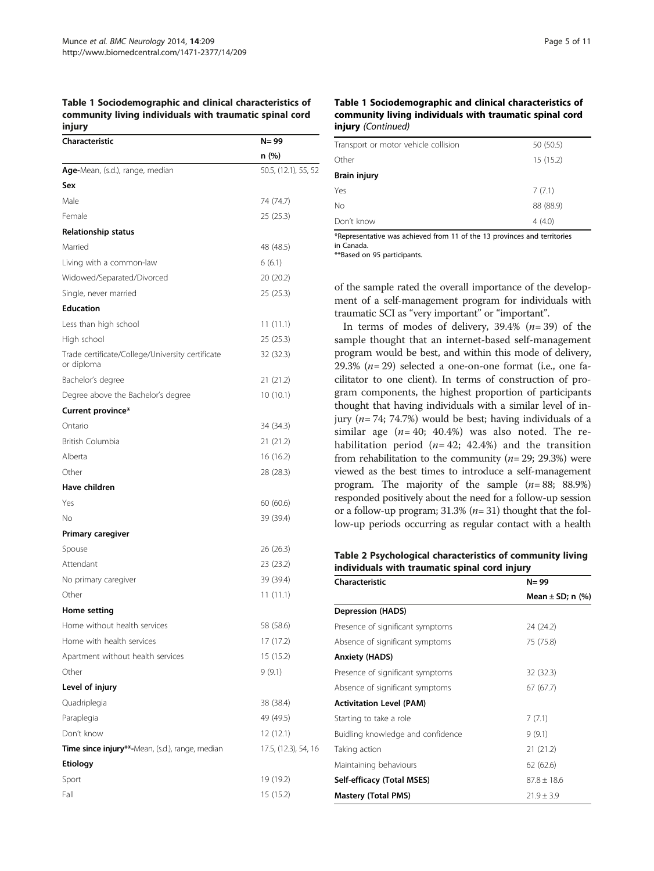<span id="page-4-0"></span>Table 1 Sociodemographic and clinical characteristics of community living individuals with traumatic spinal cord injury

| Characteristic                                                 | N= 99                |
|----------------------------------------------------------------|----------------------|
|                                                                | n (%)                |
| Age-Mean, (s.d.), range, median                                | 50.5, (12.1), 55, 52 |
| Sex                                                            |                      |
| Male                                                           | 74 (74.7)            |
| Female                                                         | 25 (25.3)            |
| <b>Relationship status</b>                                     |                      |
| Married                                                        | 48 (48.5)            |
| Living with a common-law                                       | 6 (6.1)              |
| Widowed/Separated/Divorced                                     | 20 (20.2)            |
| Single, never married                                          | 25 (25.3)            |
| <b>Education</b>                                               |                      |
| Less than high school                                          | 11(11.1)             |
| High school                                                    | 25 (25.3)            |
| Trade certificate/College/University certificate<br>or diploma | 32 (32.3)            |
| Bachelor's degree                                              | 21 (21.2)            |
| Degree above the Bachelor's degree                             | 10(10.1)             |
| Current province*                                              |                      |
| Ontario                                                        | 34 (34.3)            |
| <b>British Columbia</b>                                        | 21 (21.2)            |
| Alberta                                                        | 16 (16.2)            |
| Other                                                          | 28 (28.3)            |
| Have children                                                  |                      |
| Yes                                                            | 60 (60.6)            |
| No                                                             | 39 (39.4)            |
| <b>Primary caregiver</b>                                       |                      |
| Spouse                                                         | 26 (26.3)            |
| Attendant                                                      | 23 (23.2)            |
| No primary caregiver                                           | 39 (39.4)            |
| Other                                                          | 11(11.1)             |
| Home setting                                                   |                      |
| Home without health services                                   | 58 (58.6)            |
| Home with health services                                      | 17 (17.2)            |
| Apartment without health services                              | 15 (15.2)            |
| Other                                                          | 9(9.1)               |
| Level of injury                                                |                      |
| Quadriplegia                                                   | 38 (38.4)            |
| Paraplegia                                                     | 49 (49.5)            |
| Don't know                                                     | 12 (12.1)            |
| Time since injury**-Mean, (s.d.), range, median                | 17.5, (12.3), 54, 16 |
| Etiology                                                       |                      |
| Sport                                                          | 19 (19.2)            |
| Fall                                                           | 15 (15.2)            |
|                                                                |                      |

#### Table 1 Sociodemographic and clinical characteristics of community living individuals with traumatic spinal cord injury (Continued)

| Transport or motor vehicle collision | 50 (50.5) |
|--------------------------------------|-----------|
| Other                                | 15(15.2)  |
| <b>Brain injury</b>                  |           |
| Yes                                  | 7(7.1)    |
| No                                   | 88 (88.9) |
| Don't know                           | 4(4.0)    |
|                                      |           |

\*Representative was achieved from 11 of the 13 provinces and territories in Canada.

\*\*Based on 95 participants.

of the sample rated the overall importance of the development of a self-management program for individuals with traumatic SCI as "very important" or "important".

In terms of modes of delivery,  $39.4\%$  ( $n=39$ ) of the sample thought that an internet-based self-management program would be best, and within this mode of delivery, 29.3%  $(n=29)$  selected a one-on-one format (i.e., one facilitator to one client). In terms of construction of program components, the highest proportion of participants thought that having individuals with a similar level of injury ( $n= 74$ ; 74.7%) would be best; having individuals of a similar age  $(n= 40; 40.4%)$  was also noted. The rehabilitation period ( $n= 42$ ; 42.4%) and the transition from rehabilitation to the community  $(n= 29; 29.3%)$  were viewed as the best times to introduce a self-management program. The majority of the sample  $(n= 88; 88.9%)$ responded positively about the need for a follow-up session or a follow-up program;  $31.3\%$  ( $n=31$ ) thought that the follow-up periods occurring as regular contact with a health

Table 2 Psychological characteristics of community living individuals with traumatic spinal cord injury

| Characteristic                    | $N = 99$                |
|-----------------------------------|-------------------------|
|                                   | Mean $\pm$ SD; n $(\%)$ |
| Depression (HADS)                 |                         |
| Presence of significant symptoms  | 24 (24.2)               |
| Absence of significant symptoms   | 75 (75.8)               |
| <b>Anxiety (HADS)</b>             |                         |
| Presence of significant symptoms  | 32 (32.3)               |
| Absence of significant symptoms   | 67(67.7)                |
| <b>Activitation Level (PAM)</b>   |                         |
| Starting to take a role           | 7(7.1)                  |
| Buidling knowledge and confidence | 9(9.1)                  |
| Taking action                     | 21(21.2)                |
| Maintaining behaviours            | 62(62.6)                |
| Self-efficacy (Total MSES)        | $87.8 \pm 18.6$         |
| <b>Mastery (Total PMS)</b>        | $21.9 \pm 3.9$          |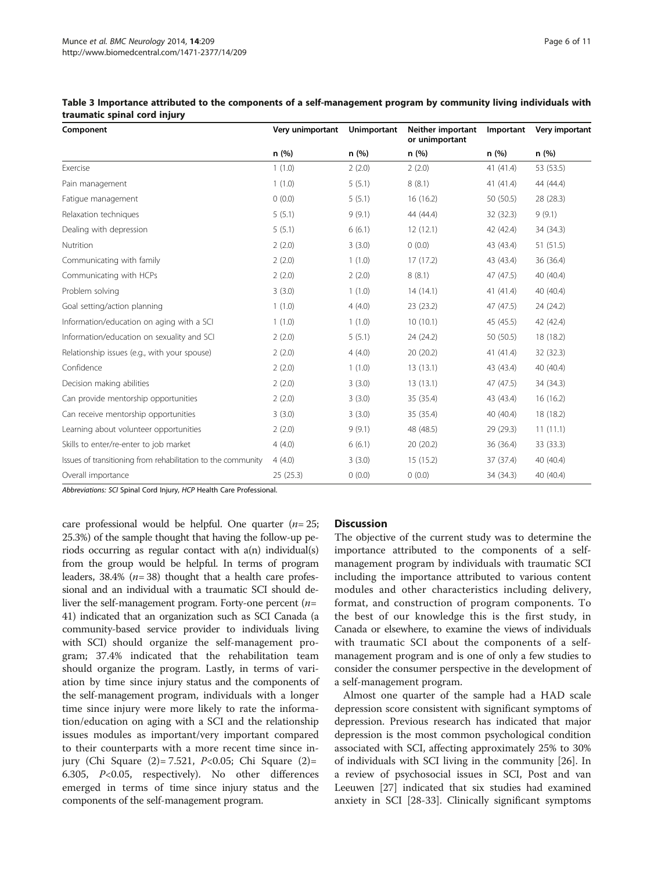| Component                                                    | Very unimportant | <b>Unimportant</b> | Neither important<br>or unimportant | Important | Very important |
|--------------------------------------------------------------|------------------|--------------------|-------------------------------------|-----------|----------------|
|                                                              | n(%)             | n (%)              | n (%)                               | n(%)      | n(%)           |
| Exercise                                                     | 1(1.0)           | 2(2.0)             | 2(2.0)                              | 41(41.4)  | 53 (53.5)      |
| Pain management                                              | 1(1.0)           | 5(5.1)             | 8(8.1)                              | 41(41.4)  | 44 (44.4)      |
| Fatigue management                                           | 0(0.0)           | 5(5.1)             | 16(16.2)                            | 50 (50.5) | 28 (28.3)      |
| Relaxation techniques                                        | 5(5.1)           | 9(9.1)             | 44 (44.4)                           | 32 (32.3) | 9(9.1)         |
| Dealing with depression                                      | 5(5.1)           | 6(6.1)             | 12(12.1)                            | 42 (42.4) | 34 (34.3)      |
| Nutrition                                                    | 2(2.0)           | 3(3.0)             | 0(0.0)                              | 43 (43.4) | 51 (51.5)      |
| Communicating with family                                    | 2(2.0)           | 1(1.0)             | 17(17.2)                            | 43 (43.4) | 36 (36.4)      |
| Communicating with HCPs                                      | 2(2.0)           | 2(2.0)             | 8(8.1)                              | 47 (47.5) | 40 (40.4)      |
| Problem solving                                              | 3(3.0)           | 1(1.0)             | 14(14.1)                            | 41(41.4)  | 40 (40.4)      |
| Goal setting/action planning                                 | 1(1.0)           | 4(4.0)             | 23(23.2)                            | 47 (47.5) | 24 (24.2)      |
| Information/education on aging with a SCI                    | 1(1.0)           | 1(1.0)             | 10(10.1)                            | 45 (45.5) | 42 (42.4)      |
| Information/education on sexuality and SCI                   | 2(2.0)           | 5(5.1)             | 24 (24.2)                           | 50 (50.5) | 18 (18.2)      |
| Relationship issues (e.g., with your spouse)                 | 2(2.0)           | 4(4.0)             | 20(20.2)                            | 41(41.4)  | 32 (32.3)      |
| Confidence                                                   | 2(2.0)           | 1(1.0)             | 13(13.1)                            | 43 (43.4) | 40 (40.4)      |
| Decision making abilities                                    | 2(2.0)           | 3(3.0)             | 13(13.1)                            | 47 (47.5) | 34 (34.3)      |
| Can provide mentorship opportunities                         | 2(2.0)           | 3(3.0)             | 35 (35.4)                           | 43 (43.4) | 16(16.2)       |
| Can receive mentorship opportunities                         | 3(3.0)           | 3(3.0)             | 35 (35.4)                           | 40 (40.4) | 18 (18.2)      |
| Learning about volunteer opportunities                       | 2(2.0)           | 9(9.1)             | 48 (48.5)                           | 29 (29.3) | 11(11.1)       |
| Skills to enter/re-enter to job market                       | 4(4.0)           | 6(6.1)             | 20 (20.2)                           | 36 (36.4) | 33 (33.3)      |
| Issues of transitioning from rehabilitation to the community | 4(4.0)           | 3(3.0)             | 15 (15.2)                           | 37 (37.4) | 40 (40.4)      |
| Overall importance                                           | 25(25.3)         | 0(0.0)             | 0(0.0)                              | 34 (34.3) | 40 (40.4)      |

<span id="page-5-0"></span>Table 3 Importance attributed to the components of a self-management program by community living individuals with traumatic spinal cord injury

Abbreviations: SCI Spinal Cord Injury, HCP Health Care Professional.

care professional would be helpful. One quarter  $(n=25;$ 25.3%) of the sample thought that having the follow-up periods occurring as regular contact with a(n) individual(s) from the group would be helpful. In terms of program leaders,  $38.4\%$  ( $n=38$ ) thought that a health care professional and an individual with a traumatic SCI should deliver the self-management program. Forty-one percent  $(n=$ 41) indicated that an organization such as SCI Canada (a community-based service provider to individuals living with SCI) should organize the self-management program; 37.4% indicated that the rehabilitation team should organize the program. Lastly, in terms of variation by time since injury status and the components of the self-management program, individuals with a longer time since injury were more likely to rate the information/education on aging with a SCI and the relationship issues modules as important/very important compared to their counterparts with a more recent time since injury (Chi Square  $(2) = 7.521$ , *P*<0.05; Chi Square  $(2) =$ 6.305, P<0.05, respectively). No other differences emerged in terms of time since injury status and the components of the self-management program.

## **Discussion**

The objective of the current study was to determine the importance attributed to the components of a selfmanagement program by individuals with traumatic SCI including the importance attributed to various content modules and other characteristics including delivery, format, and construction of program components. To the best of our knowledge this is the first study, in Canada or elsewhere, to examine the views of individuals with traumatic SCI about the components of a selfmanagement program and is one of only a few studies to consider the consumer perspective in the development of a self-management program.

Almost one quarter of the sample had a HAD scale depression score consistent with significant symptoms of depression. Previous research has indicated that major depression is the most common psychological condition associated with SCI, affecting approximately 25% to 30% of individuals with SCI living in the community [\[26\]](#page-10-0). In a review of psychosocial issues in SCI, Post and van Leeuwen [\[27\]](#page-10-0) indicated that six studies had examined anxiety in SCI [\[28-33](#page-10-0)]. Clinically significant symptoms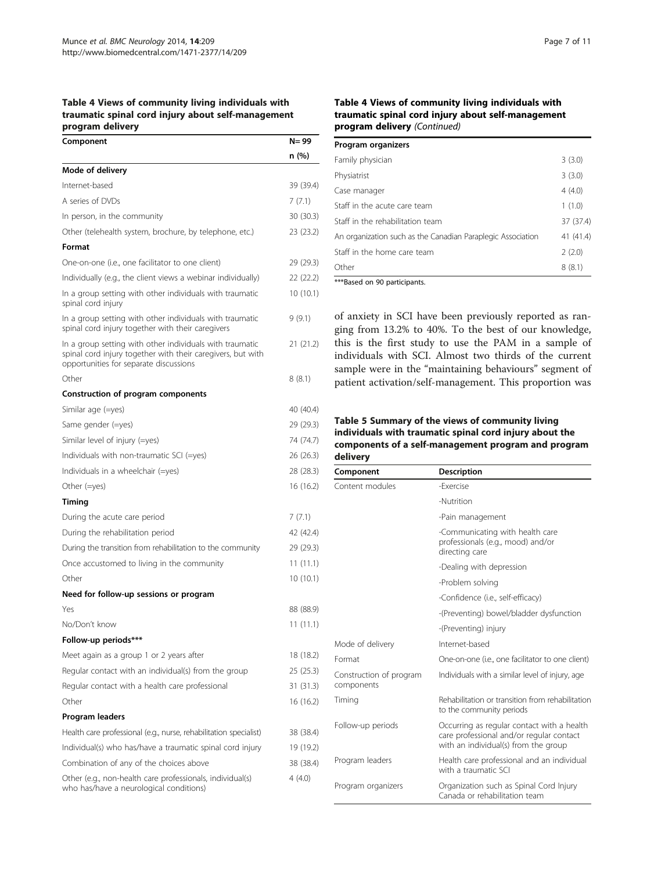## <span id="page-6-0"></span>Table 4 Views of community living individuals with traumatic spinal cord injury about self-management program delivery

| Component                                                                                                                                                         | N= 99     |
|-------------------------------------------------------------------------------------------------------------------------------------------------------------------|-----------|
|                                                                                                                                                                   | n (%)     |
| Mode of delivery                                                                                                                                                  |           |
| Internet-based                                                                                                                                                    | 39 (39.4) |
| A series of DVDs                                                                                                                                                  | 7(7.1)    |
| In person, in the community                                                                                                                                       | 30 (30.3) |
| Other (telehealth system, brochure, by telephone, etc.)                                                                                                           | 23 (23.2) |
| Format                                                                                                                                                            |           |
| One-on-one (i.e., one facilitator to one client)                                                                                                                  | 29 (29.3) |
| Individually (e.g., the client views a webinar individually)                                                                                                      | 22 (22.2) |
| In a group setting with other individuals with traumatic<br>spinal cord injury                                                                                    | 10(10.1)  |
| In a group setting with other individuals with traumatic<br>spinal cord injury together with their caregivers                                                     | 9 (9.1)   |
| In a group setting with other individuals with traumatic<br>spinal cord injury together with their caregivers, but with<br>opportunities for separate discussions | 21 (21.2) |
| Other                                                                                                                                                             | 8(8.1)    |
| Construction of program components                                                                                                                                |           |
| Similar age (=yes)                                                                                                                                                | 40 (40.4) |
| Same gender (=yes)                                                                                                                                                | 29 (29.3) |
| Similar level of injury (=yes)                                                                                                                                    | 74 (74.7) |
| Individuals with non-traumatic SCI (=yes)                                                                                                                         | 26 (26.3) |
| Individuals in a wheelchair (=yes)                                                                                                                                | 28 (28.3) |
| Other (=yes)                                                                                                                                                      | 16 (16.2) |
| Timing                                                                                                                                                            |           |
| During the acute care period                                                                                                                                      | 7(7.1)    |
| During the rehabilitation period                                                                                                                                  | 42 (42.4) |
| During the transition from rehabilitation to the community                                                                                                        | 29 (29.3) |
| Once accustomed to living in the community                                                                                                                        | 11(11.1)  |
| Other                                                                                                                                                             | 10(10.1)  |
| Need for follow-up sessions or program                                                                                                                            |           |
| Yes                                                                                                                                                               | 88 (88.9) |
| No/Don't know                                                                                                                                                     | 11(11.1)  |
| Follow-up periods***                                                                                                                                              |           |
| Meet again as a group 1 or 2 years after                                                                                                                          | 18 (18.2) |
| Regular contact with an individual(s) from the group                                                                                                              | 25 (25.3) |
| Regular contact with a health care professional                                                                                                                   | 31 (31.3) |
| Other                                                                                                                                                             | 16 (16.2) |
| Program leaders                                                                                                                                                   |           |
| Health care professional (e.g., nurse, rehabilitation specialist)                                                                                                 | 38 (38.4) |
| Individual(s) who has/have a traumatic spinal cord injury                                                                                                         | 19 (19.2) |
| Combination of any of the choices above                                                                                                                           | 38 (38.4) |
| Other (e.g., non-health care professionals, individual(s)<br>who has/have a neurological conditions)                                                              | 4(4.0)    |

#### Table 4 Views of community living individuals with traumatic spinal cord injury about self-management program delivery (Continued)

| Program organizers                                          |           |
|-------------------------------------------------------------|-----------|
| Family physician                                            | 3(3.0)    |
| Physiatrist                                                 | 3(3.0)    |
| Case manager                                                | 4(4.0)    |
| Staff in the acute care team                                | 1(1.0)    |
| Staff in the rehabilitation team                            | 37 (37.4) |
| An organization such as the Canadian Paraplegic Association | 41(41.4)  |
| Staff in the home care team                                 | 2(2.0)    |
| Other                                                       | 8(8.1)    |
| ***Based on 90 participants.                                |           |

of anxiety in SCI have been previously reported as ranging from 13.2% to 40%. To the best of our knowledge, this is the first study to use the PAM in a sample of individuals with SCI. Almost two thirds of the current sample were in the "maintaining behaviours" segment of patient activation/self-management. This proportion was

## Table 5 Summary of the views of community living individuals with traumatic spinal cord injury about the components of a self-management program and program delivery

| Component                             | <b>Description</b>                                                                                                             |
|---------------------------------------|--------------------------------------------------------------------------------------------------------------------------------|
| Content modules                       | -Exercise                                                                                                                      |
|                                       | -Nutrition                                                                                                                     |
|                                       | -Pain management                                                                                                               |
|                                       | -Communicating with health care<br>professionals (e.g., mood) and/or<br>directing care                                         |
|                                       | -Dealing with depression                                                                                                       |
|                                       | -Problem solving                                                                                                               |
|                                       | -Confidence (i.e., self-efficacy)                                                                                              |
|                                       | -(Preventing) bowel/bladder dysfunction                                                                                        |
|                                       | -(Preventing) injury                                                                                                           |
| Mode of delivery                      | Internet-based                                                                                                                 |
| Format                                | One-on-one (i.e., one facilitator to one client)                                                                               |
| Construction of program<br>components | Individuals with a similar level of injury, age                                                                                |
| Timing                                | Rehabilitation or transition from rehabilitation<br>to the community periods                                                   |
| Follow-up periods                     | Occurring as regular contact with a health<br>care professional and/or regular contact<br>with an individual(s) from the group |
| Program leaders                       | Health care professional and an individual<br>with a traumatic SCI                                                             |
| Program organizers                    | Organization such as Spinal Cord Injury<br>Canada or rehabilitation team                                                       |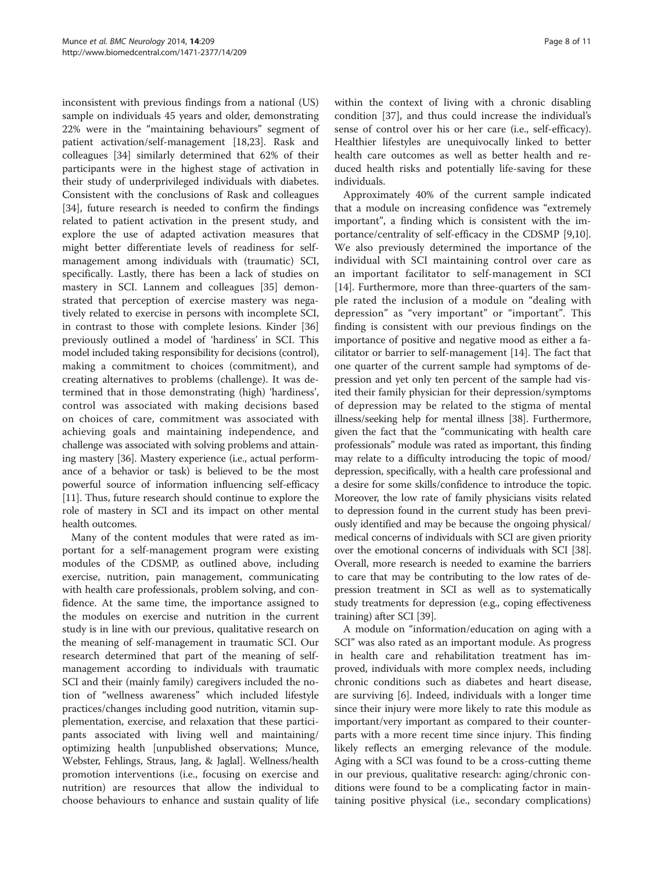inconsistent with previous findings from a national (US) sample on individuals 45 years and older, demonstrating 22% were in the "maintaining behaviours" segment of patient activation/self-management [\[18,23\]](#page-10-0). Rask and colleagues [\[34](#page-10-0)] similarly determined that 62% of their participants were in the highest stage of activation in their study of underprivileged individuals with diabetes. Consistent with the conclusions of Rask and colleagues [[34\]](#page-10-0), future research is needed to confirm the findings related to patient activation in the present study, and explore the use of adapted activation measures that might better differentiate levels of readiness for selfmanagement among individuals with (traumatic) SCI, specifically. Lastly, there has been a lack of studies on mastery in SCI. Lannem and colleagues [\[35\]](#page-10-0) demonstrated that perception of exercise mastery was negatively related to exercise in persons with incomplete SCI, in contrast to those with complete lesions. Kinder [[36](#page-10-0)] previously outlined a model of 'hardiness' in SCI. This model included taking responsibility for decisions (control), making a commitment to choices (commitment), and creating alternatives to problems (challenge). It was determined that in those demonstrating (high) 'hardiness', control was associated with making decisions based on choices of care, commitment was associated with achieving goals and maintaining independence, and challenge was associated with solving problems and attaining mastery [[36](#page-10-0)]. Mastery experience (i.e., actual performance of a behavior or task) is believed to be the most powerful source of information influencing self-efficacy [[11](#page-9-0)]. Thus, future research should continue to explore the role of mastery in SCI and its impact on other mental health outcomes.

Many of the content modules that were rated as important for a self-management program were existing modules of the CDSMP, as outlined above, including exercise, nutrition, pain management, communicating with health care professionals, problem solving, and confidence. At the same time, the importance assigned to the modules on exercise and nutrition in the current study is in line with our previous, qualitative research on the meaning of self-management in traumatic SCI. Our research determined that part of the meaning of selfmanagement according to individuals with traumatic SCI and their (mainly family) caregivers included the notion of "wellness awareness" which included lifestyle practices/changes including good nutrition, vitamin supplementation, exercise, and relaxation that these participants associated with living well and maintaining/ optimizing health [unpublished observations; Munce, Webster, Fehlings, Straus, Jang, & Jaglal]. Wellness/health promotion interventions (i.e., focusing on exercise and nutrition) are resources that allow the individual to choose behaviours to enhance and sustain quality of life within the context of living with a chronic disabling condition [\[37](#page-10-0)], and thus could increase the individual's sense of control over his or her care (i.e., self-efficacy). Healthier lifestyles are unequivocally linked to better health care outcomes as well as better health and reduced health risks and potentially life-saving for these individuals.

Approximately 40% of the current sample indicated that a module on increasing confidence was "extremely important", a finding which is consistent with the importance/centrality of self-efficacy in the CDSMP [\[9,10](#page-9-0)]. We also previously determined the importance of the individual with SCI maintaining control over care as an important facilitator to self-management in SCI [[14\]](#page-10-0). Furthermore, more than three-quarters of the sample rated the inclusion of a module on "dealing with depression" as "very important" or "important". This finding is consistent with our previous findings on the importance of positive and negative mood as either a facilitator or barrier to self-management [[14\]](#page-10-0). The fact that one quarter of the current sample had symptoms of depression and yet only ten percent of the sample had visited their family physician for their depression/symptoms of depression may be related to the stigma of mental illness/seeking help for mental illness [[38](#page-10-0)]. Furthermore, given the fact that the "communicating with health care professionals" module was rated as important, this finding may relate to a difficulty introducing the topic of mood/ depression, specifically, with a health care professional and a desire for some skills/confidence to introduce the topic. Moreover, the low rate of family physicians visits related to depression found in the current study has been previously identified and may be because the ongoing physical/ medical concerns of individuals with SCI are given priority over the emotional concerns of individuals with SCI [[38](#page-10-0)]. Overall, more research is needed to examine the barriers to care that may be contributing to the low rates of depression treatment in SCI as well as to systematically study treatments for depression (e.g., coping effectiveness training) after SCI [[39](#page-10-0)].

A module on "information/education on aging with a SCI" was also rated as an important module. As progress in health care and rehabilitation treatment has improved, individuals with more complex needs, including chronic conditions such as diabetes and heart disease, are surviving [\[6](#page-9-0)]. Indeed, individuals with a longer time since their injury were more likely to rate this module as important/very important as compared to their counterparts with a more recent time since injury. This finding likely reflects an emerging relevance of the module. Aging with a SCI was found to be a cross-cutting theme in our previous, qualitative research: aging/chronic conditions were found to be a complicating factor in maintaining positive physical (i.e., secondary complications)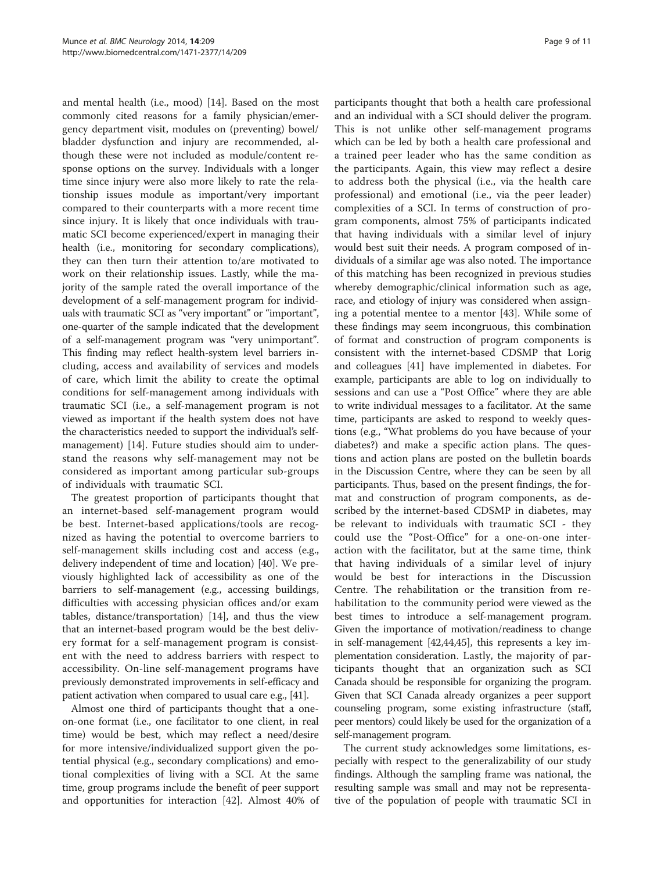and mental health (i.e., mood) [[14\]](#page-10-0). Based on the most commonly cited reasons for a family physician/emergency department visit, modules on (preventing) bowel/ bladder dysfunction and injury are recommended, although these were not included as module/content response options on the survey. Individuals with a longer time since injury were also more likely to rate the relationship issues module as important/very important compared to their counterparts with a more recent time since injury. It is likely that once individuals with traumatic SCI become experienced/expert in managing their health (i.e., monitoring for secondary complications), they can then turn their attention to/are motivated to work on their relationship issues. Lastly, while the majority of the sample rated the overall importance of the development of a self-management program for individuals with traumatic SCI as "very important" or "important", one-quarter of the sample indicated that the development of a self-management program was "very unimportant". This finding may reflect health-system level barriers including, access and availability of services and models of care, which limit the ability to create the optimal conditions for self-management among individuals with traumatic SCI (i.e., a self-management program is not viewed as important if the health system does not have the characteristics needed to support the individual's selfmanagement) [\[14](#page-10-0)]. Future studies should aim to understand the reasons why self-management may not be considered as important among particular sub-groups of individuals with traumatic SCI.

The greatest proportion of participants thought that an internet-based self-management program would be best. Internet-based applications/tools are recognized as having the potential to overcome barriers to self-management skills including cost and access (e.g., delivery independent of time and location) [\[40\]](#page-10-0). We previously highlighted lack of accessibility as one of the barriers to self-management (e.g., accessing buildings, difficulties with accessing physician offices and/or exam tables, distance/transportation) [\[14\]](#page-10-0), and thus the view that an internet-based program would be the best delivery format for a self-management program is consistent with the need to address barriers with respect to accessibility. On-line self-management programs have previously demonstrated improvements in self-efficacy and patient activation when compared to usual care e.g., [[41](#page-10-0)].

Almost one third of participants thought that a oneon-one format (i.e., one facilitator to one client, in real time) would be best, which may reflect a need/desire for more intensive/individualized support given the potential physical (e.g., secondary complications) and emotional complexities of living with a SCI. At the same time, group programs include the benefit of peer support and opportunities for interaction [[42\]](#page-10-0). Almost 40% of

participants thought that both a health care professional and an individual with a SCI should deliver the program. This is not unlike other self-management programs which can be led by both a health care professional and a trained peer leader who has the same condition as the participants. Again, this view may reflect a desire to address both the physical (i.e., via the health care professional) and emotional (i.e., via the peer leader) complexities of a SCI. In terms of construction of program components, almost 75% of participants indicated that having individuals with a similar level of injury would best suit their needs. A program composed of individuals of a similar age was also noted. The importance of this matching has been recognized in previous studies whereby demographic/clinical information such as age, race, and etiology of injury was considered when assigning a potential mentee to a mentor [[43](#page-10-0)]. While some of these findings may seem incongruous, this combination of format and construction of program components is consistent with the internet-based CDSMP that Lorig and colleagues [[41](#page-10-0)] have implemented in diabetes. For example, participants are able to log on individually to sessions and can use a "Post Office" where they are able to write individual messages to a facilitator. At the same time, participants are asked to respond to weekly questions (e.g., "What problems do you have because of your diabetes?) and make a specific action plans. The questions and action plans are posted on the bulletin boards in the Discussion Centre, where they can be seen by all participants. Thus, based on the present findings, the format and construction of program components, as described by the internet-based CDSMP in diabetes, may be relevant to individuals with traumatic SCI - they could use the "Post-Office" for a one-on-one interaction with the facilitator, but at the same time, think that having individuals of a similar level of injury would be best for interactions in the Discussion Centre. The rehabilitation or the transition from rehabilitation to the community period were viewed as the best times to introduce a self-management program. Given the importance of motivation/readiness to change in self-management [\[42,44,45](#page-10-0)], this represents a key implementation consideration. Lastly, the majority of participants thought that an organization such as SCI Canada should be responsible for organizing the program. Given that SCI Canada already organizes a peer support counseling program, some existing infrastructure (staff, peer mentors) could likely be used for the organization of a self-management program.

The current study acknowledges some limitations, especially with respect to the generalizability of our study findings. Although the sampling frame was national, the resulting sample was small and may not be representative of the population of people with traumatic SCI in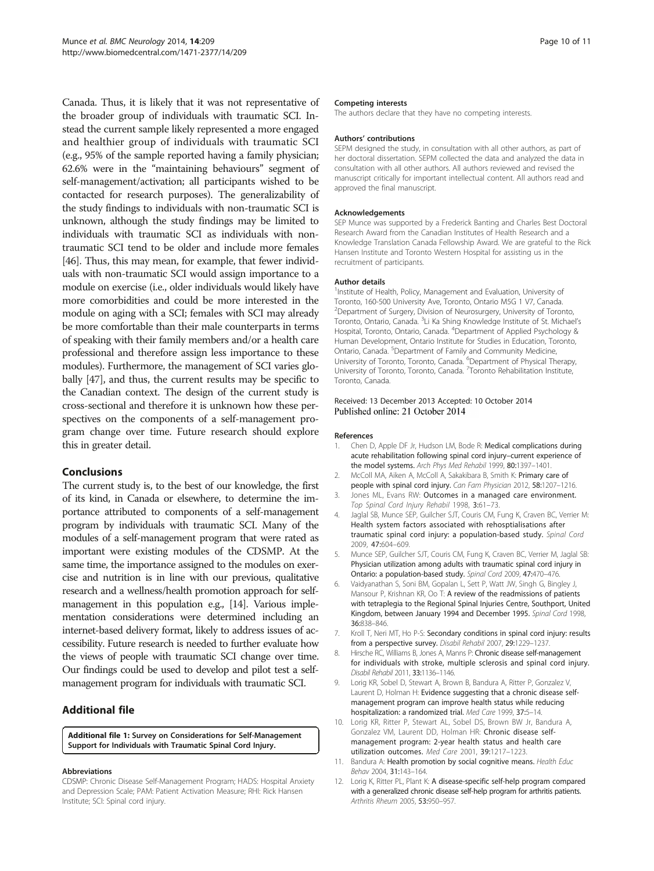<span id="page-9-0"></span>Canada. Thus, it is likely that it was not representative of the broader group of individuals with traumatic SCI. Instead the current sample likely represented a more engaged and healthier group of individuals with traumatic SCI (e.g., 95% of the sample reported having a family physician; 62.6% were in the "maintaining behaviours" segment of self-management/activation; all participants wished to be contacted for research purposes). The generalizability of the study findings to individuals with non-traumatic SCI is unknown, although the study findings may be limited to individuals with traumatic SCI as individuals with nontraumatic SCI tend to be older and include more females [[46](#page-10-0)]. Thus, this may mean, for example, that fewer individuals with non-traumatic SCI would assign importance to a module on exercise (i.e., older individuals would likely have more comorbidities and could be more interested in the module on aging with a SCI; females with SCI may already be more comfortable than their male counterparts in terms of speaking with their family members and/or a health care professional and therefore assign less importance to these modules). Furthermore, the management of SCI varies globally [\[47\]](#page-10-0), and thus, the current results may be specific to the Canadian context. The design of the current study is cross-sectional and therefore it is unknown how these perspectives on the components of a self-management program change over time. Future research should explore this in greater detail.

## Conclusions

The current study is, to the best of our knowledge, the first of its kind, in Canada or elsewhere, to determine the importance attributed to components of a self-management program by individuals with traumatic SCI. Many of the modules of a self-management program that were rated as important were existing modules of the CDSMP. At the same time, the importance assigned to the modules on exercise and nutrition is in line with our previous, qualitative research and a wellness/health promotion approach for selfmanagement in this population e.g., [\[14](#page-10-0)]. Various implementation considerations were determined including an internet-based delivery format, likely to address issues of accessibility. Future research is needed to further evaluate how the views of people with traumatic SCI change over time. Our findings could be used to develop and pilot test a selfmanagement program for individuals with traumatic SCI.

## Additional file

[Additional file 1:](http://www.biomedcentral.com/content/supplementary/s12883-014-0209-9-s1.docx) Survey on Considerations for Self-Management Support for Individuals with Traumatic Spinal Cord Injury.

#### Abbreviations

CDSMP: Chronic Disease Self-Management Program; HADS: Hospital Anxiety and Depression Scale; PAM: Patient Activation Measure; RHI: Rick Hansen Institute; SCI: Spinal cord injury.

#### Competing interests

The authors declare that they have no competing interests.

#### Authors' contributions

SEPM designed the study, in consultation with all other authors, as part of her doctoral dissertation. SEPM collected the data and analyzed the data in consultation with all other authors. All authors reviewed and revised the manuscript critically for important intellectual content. All authors read and approved the final manuscript.

#### Acknowledgements

SEP Munce was supported by a Frederick Banting and Charles Best Doctoral Research Award from the Canadian Institutes of Health Research and a Knowledge Translation Canada Fellowship Award. We are grateful to the Rick Hansen Institute and Toronto Western Hospital for assisting us in the recruitment of participants.

#### Author details

<sup>1</sup>Institute of Health, Policy, Management and Evaluation, University of Toronto, 160-500 University Ave, Toronto, Ontario M5G 1 V7, Canada. <sup>2</sup> Department of Surgery, Division of Neurosurgery, University of Toronto, Toronto, Ontario, Canada. <sup>3</sup>Li Ka Shing Knowledge Institute of St. Michael's Hospital, Toronto, Ontario, Canada. <sup>4</sup> Department of Applied Psychology & Human Development, Ontario Institute for Studies in Education, Toronto, Ontario, Canada. <sup>5</sup>Department of Family and Community Medicine University of Toronto, Toronto, Canada. <sup>6</sup>Department of Physical Therapy University of Toronto, Toronto, Canada. <sup>7</sup>Toronto Rehabilitation Institute Toronto, Canada.

#### Received: 13 December 2013 Accepted: 10 October 2014 Published online: 21 October 2014

#### References

- 1. Chen D, Apple DF Jr, Hudson LM, Bode R: Medical complications during acute rehabilitation following spinal cord injury–current experience of the model systems. Arch Phys Med Rehabil 1999, 80:1397–1401.
- 2. McColl MA, Aiken A, McColl A, Sakakibara B, Smith K: Primary care of people with spinal cord injury. Can Fam Physician 2012, 58:1207–1216.
- 3. Jones ML, Evans RW: Outcomes in a managed care environment. Top Spinal Cord Injury Rehabil 1998, 3:61–73.
- 4. Jaglal SB, Munce SEP, Guilcher SJT, Couris CM, Fung K, Craven BC, Verrier M: Health system factors associated with rehosptialisations after traumatic spinal cord injury: a population-based study. Spinal Cord 2009, 47:604–609.
- 5. Munce SEP, Guilcher SJT, Couris CM, Fung K, Craven BC, Verrier M, Jaglal SB: Physician utilization among adults with traumatic spinal cord injury in Ontario: a population-based study. Spinal Cord 2009, 47:470–476.
- 6. Vaidyanathan S, Soni BM, Gopalan L, Sett P, Watt JW, Singh G, Bingley J, Mansour P, Krishnan KR, Oo T: A review of the readmissions of patients with tetraplegia to the Regional Spinal Injuries Centre, Southport, United Kingdom, between January 1994 and December 1995. Spinal Cord 1998, 36:838–846.
- 7. Kroll T, Neri MT, Ho P-S: Secondary conditions in spinal cord injury: results from a perspective survey. Disabil Rehabil 2007, 29:1229–1237.
- 8. Hirsche RC, Williams B, Jones A, Manns P: Chronic disease self-management for individuals with stroke, multiple sclerosis and spinal cord injury. Disabil Rehabil 2011, 33:1136–1146.
- 9. Lorig KR, Sobel D, Stewart A, Brown B, Bandura A, Ritter P, Gonzalez V, Laurent D, Holman H: Evidence suggesting that a chronic disease selfmanagement program can improve health status while reducing hospitalization: a randomized trial. Med Care 1999, 37:5–14.
- 10. Lorig KR, Ritter P, Stewart AL, Sobel DS, Brown BW Jr, Bandura A, Gonzalez VM, Laurent DD, Holman HR: Chronic disease selfmanagement program: 2-year health status and health care utilization outcomes. Med Care 2001, 39:1217–1223.
- 11. Bandura A: Health promotion by social cognitive means. Health Educ Behav 2004, 31:143–164.
- 12. Lorig K, Ritter PL, Plant K: A disease-specific self-help program compared with a generalized chronic disease self-help program for arthritis patients. Arthritis Rheum 2005, 53:950–957.